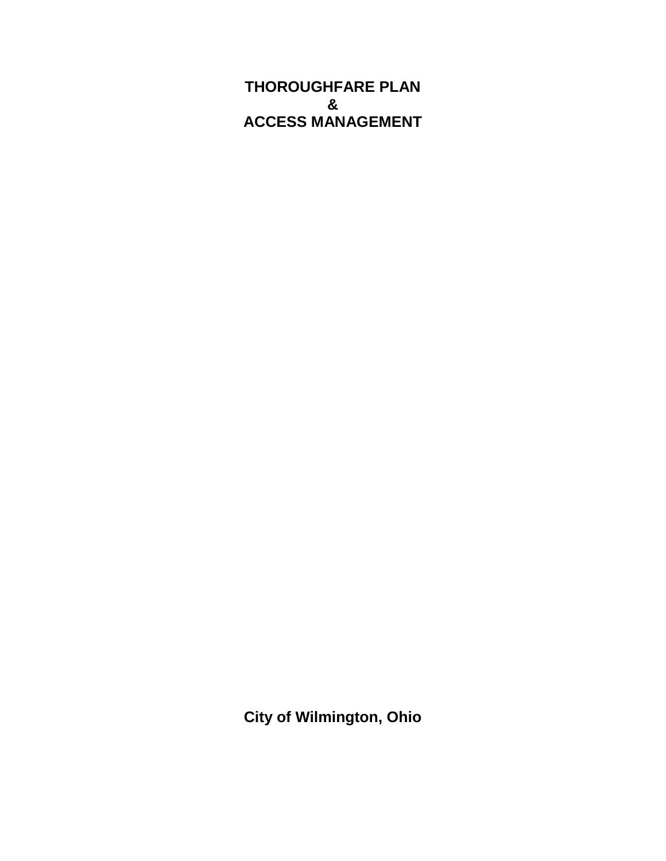**THOROUGHFARE PLAN & ACCESS MANAGEMENT**

**City of Wilmington, Ohio**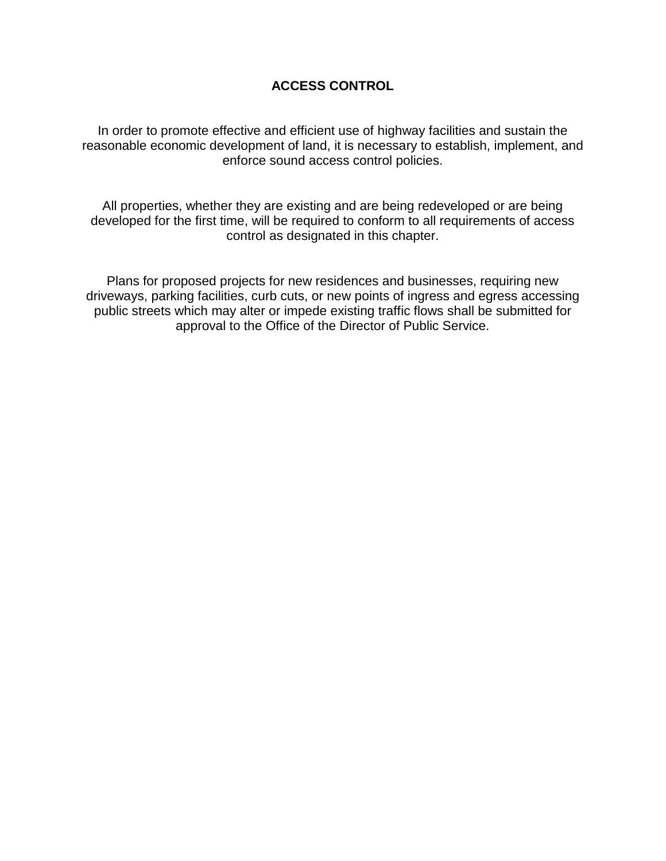## **ACCESS CONTROL**

In order to promote effective and efficient use of highway facilities and sustain the reasonable economic development of land, it is necessary to establish, implement, and enforce sound access control policies.

All properties, whether they are existing and are being redeveloped or are being developed for the first time, will be required to conform to all requirements of access control as designated in this chapter.

Plans for proposed projects for new residences and businesses, requiring new driveways, parking facilities, curb cuts, or new points of ingress and egress accessing public streets which may alter or impede existing traffic flows shall be submitted for approval to the Office of the Director of Public Service.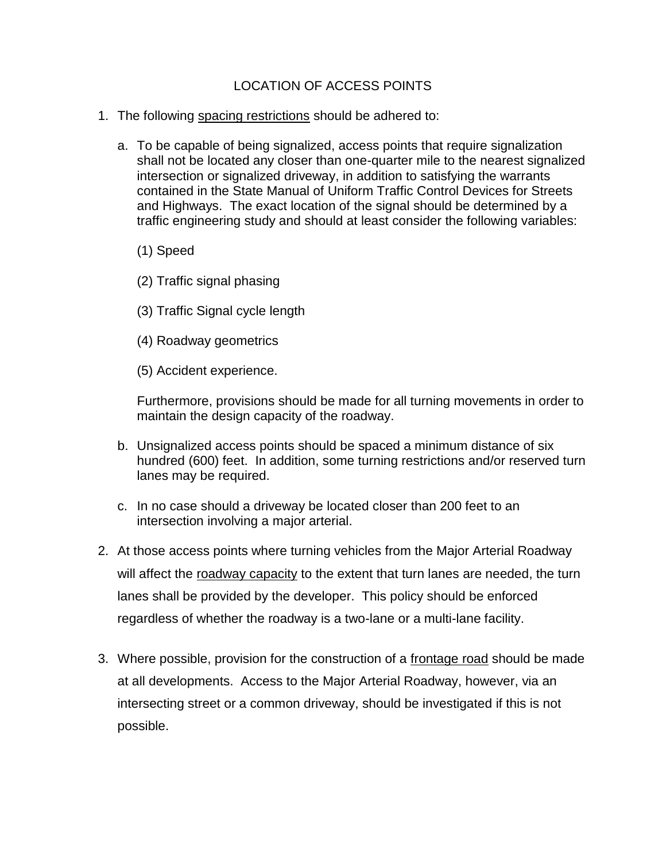## LOCATION OF ACCESS POINTS

- 1. The following spacing restrictions should be adhered to:
	- a. To be capable of being signalized, access points that require signalization shall not be located any closer than one-quarter mile to the nearest signalized intersection or signalized driveway, in addition to satisfying the warrants contained in the State Manual of Uniform Traffic Control Devices for Streets and Highways. The exact location of the signal should be determined by a traffic engineering study and should at least consider the following variables:
		- (1) Speed
		- (2) Traffic signal phasing
		- (3) Traffic Signal cycle length
		- (4) Roadway geometrics
		- (5) Accident experience.

Furthermore, provisions should be made for all turning movements in order to maintain the design capacity of the roadway.

- b. Unsignalized access points should be spaced a minimum distance of six hundred (600) feet. In addition, some turning restrictions and/or reserved turn lanes may be required.
- c. In no case should a driveway be located closer than 200 feet to an intersection involving a major arterial.
- 2. At those access points where turning vehicles from the Major Arterial Roadway will affect the roadway capacity to the extent that turn lanes are needed, the turn lanes shall be provided by the developer. This policy should be enforced regardless of whether the roadway is a two-lane or a multi-lane facility.
- 3. Where possible, provision for the construction of a frontage road should be made at all developments. Access to the Major Arterial Roadway, however, via an intersecting street or a common driveway, should be investigated if this is not possible.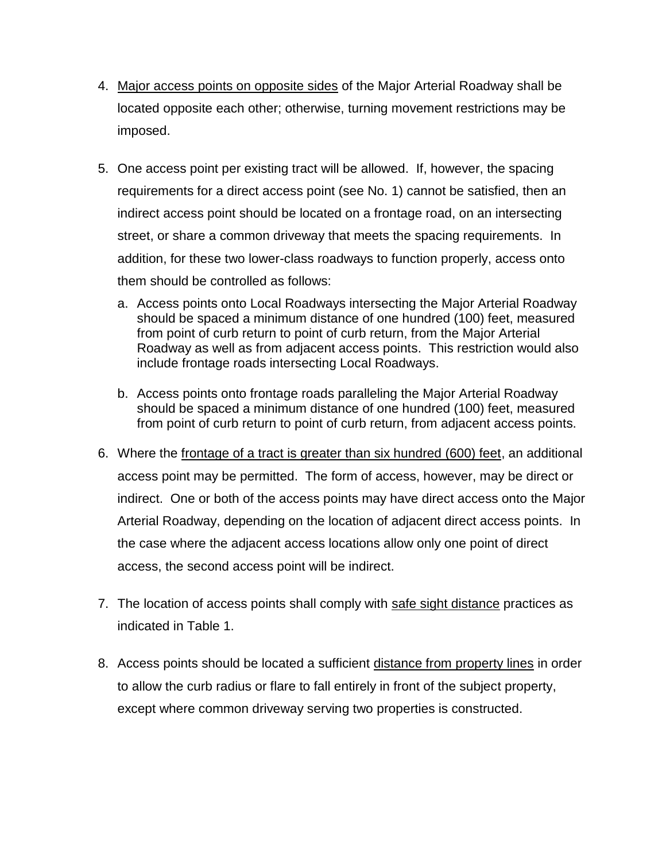- 4. Major access points on opposite sides of the Major Arterial Roadway shall be located opposite each other; otherwise, turning movement restrictions may be imposed.
- 5. One access point per existing tract will be allowed. If, however, the spacing requirements for a direct access point (see No. 1) cannot be satisfied, then an indirect access point should be located on a frontage road, on an intersecting street, or share a common driveway that meets the spacing requirements. In addition, for these two lower-class roadways to function properly, access onto them should be controlled as follows:
	- a. Access points onto Local Roadways intersecting the Major Arterial Roadway should be spaced a minimum distance of one hundred (100) feet, measured from point of curb return to point of curb return, from the Major Arterial Roadway as well as from adjacent access points. This restriction would also include frontage roads intersecting Local Roadways.
	- b. Access points onto frontage roads paralleling the Major Arterial Roadway should be spaced a minimum distance of one hundred (100) feet, measured from point of curb return to point of curb return, from adjacent access points.
- 6. Where the frontage of a tract is greater than six hundred (600) feet, an additional access point may be permitted. The form of access, however, may be direct or indirect. One or both of the access points may have direct access onto the Major Arterial Roadway, depending on the location of adjacent direct access points. In the case where the adjacent access locations allow only one point of direct access, the second access point will be indirect.
- 7. The location of access points shall comply with safe sight distance practices as indicated in Table 1.
- 8. Access points should be located a sufficient distance from property lines in order to allow the curb radius or flare to fall entirely in front of the subject property, except where common driveway serving two properties is constructed.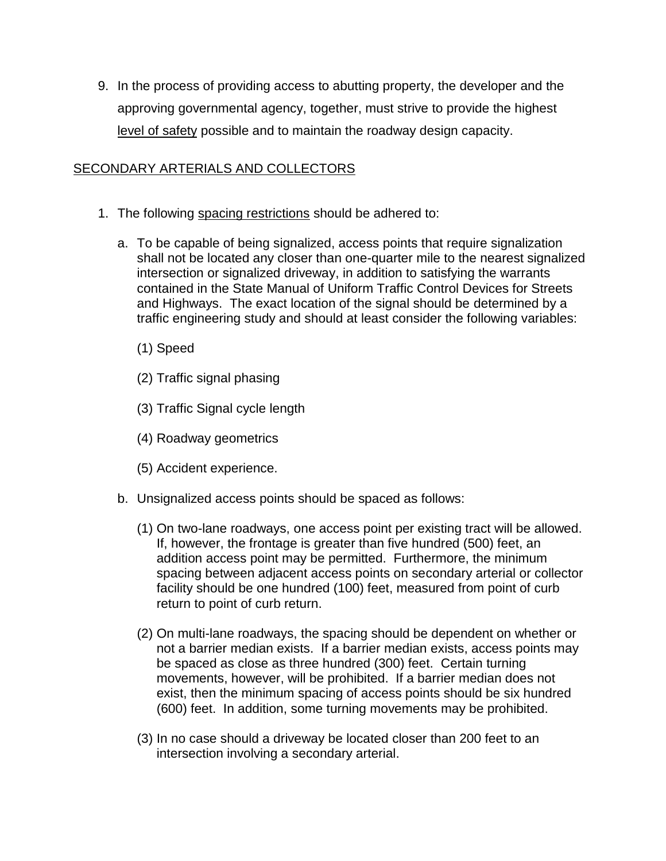9. In the process of providing access to abutting property, the developer and the approving governmental agency, together, must strive to provide the highest level of safety possible and to maintain the roadway design capacity.

## SECONDARY ARTERIALS AND COLLECTORS

- 1. The following spacing restrictions should be adhered to:
	- a. To be capable of being signalized, access points that require signalization shall not be located any closer than one-quarter mile to the nearest signalized intersection or signalized driveway, in addition to satisfying the warrants contained in the State Manual of Uniform Traffic Control Devices for Streets and Highways. The exact location of the signal should be determined by a traffic engineering study and should at least consider the following variables:
		- (1) Speed
		- (2) Traffic signal phasing
		- (3) Traffic Signal cycle length
		- (4) Roadway geometrics
		- (5) Accident experience.
	- b. Unsignalized access points should be spaced as follows:
		- (1) On two-lane roadways, one access point per existing tract will be allowed. If, however, the frontage is greater than five hundred (500) feet, an addition access point may be permitted. Furthermore, the minimum spacing between adjacent access points on secondary arterial or collector facility should be one hundred (100) feet, measured from point of curb return to point of curb return.
		- (2) On multi-lane roadways, the spacing should be dependent on whether or not a barrier median exists. If a barrier median exists, access points may be spaced as close as three hundred (300) feet. Certain turning movements, however, will be prohibited. If a barrier median does not exist, then the minimum spacing of access points should be six hundred (600) feet. In addition, some turning movements may be prohibited.
		- (3) In no case should a driveway be located closer than 200 feet to an intersection involving a secondary arterial.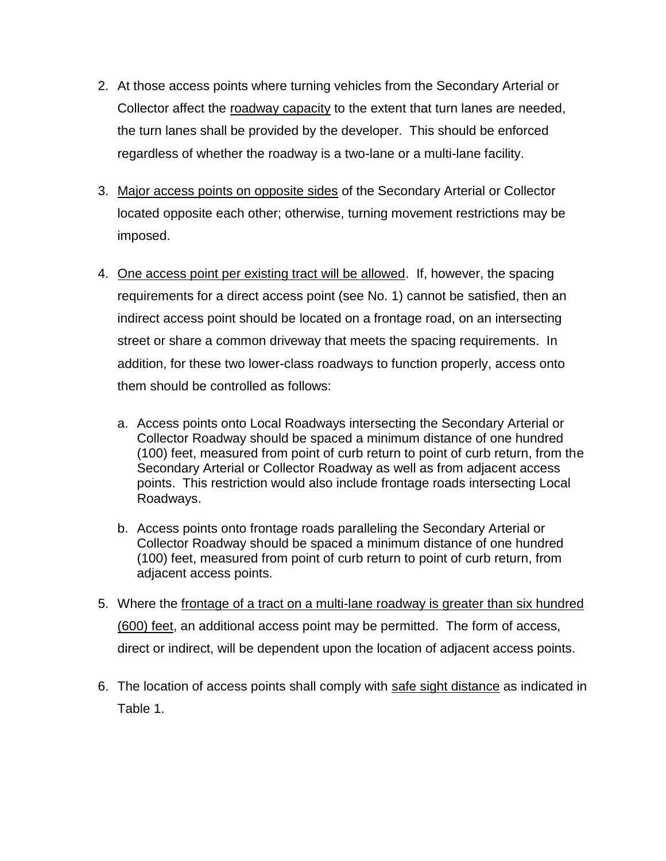- 2. At those access points where turning vehicles from the Secondary Arterial or Collector affect the roadway capacity to the extent that turn lanes are needed, the turn lanes shall be provided by the developer. This should be enforced regardless of whether the roadway is a two-lane or a multi-lane facility.
- 3. Major access points on opposite sides of the Secondary Arterial or Collector located opposite each other; otherwise, turning movement restrictions may be imposed.
- 4. One access point per existing tract will be allowed. If, however, the spacing requirements for a direct access point (see No. 1) cannot be satisfied, then an indirect access point should be located on a frontage road, on an intersecting street or share a common driveway that meets the spacing requirements. In addition, for these two lower-class roadways to function properly, access onto them should be controlled as follows:
	- a. Access points onto Local Roadways intersecting the Secondary Arterial or Collector Roadway should be spaced a minimum distance of one hundred (100) feet, measured from point of curb return to point of curb return, from the Secondary Arterial or Collector Roadway as well as from adjacent access points. This restriction would also include frontage roads intersecting Local Roadways.
	- b. Access points onto frontage roads paralleling the Secondary Arterial or Collector Roadway should be spaced a minimum distance of one hundred (100) feet, measured from point of curb return to point of curb return, from adjacent access points.
- 5. Where the frontage of a tract on a multi-lane roadway is greater than six hundred (600) feet, an additional access point may be permitted. The form of access, direct or indirect, will be dependent upon the location of adjacent access points.
- 6. The location of access points shall comply with safe sight distance as indicated in Table 1.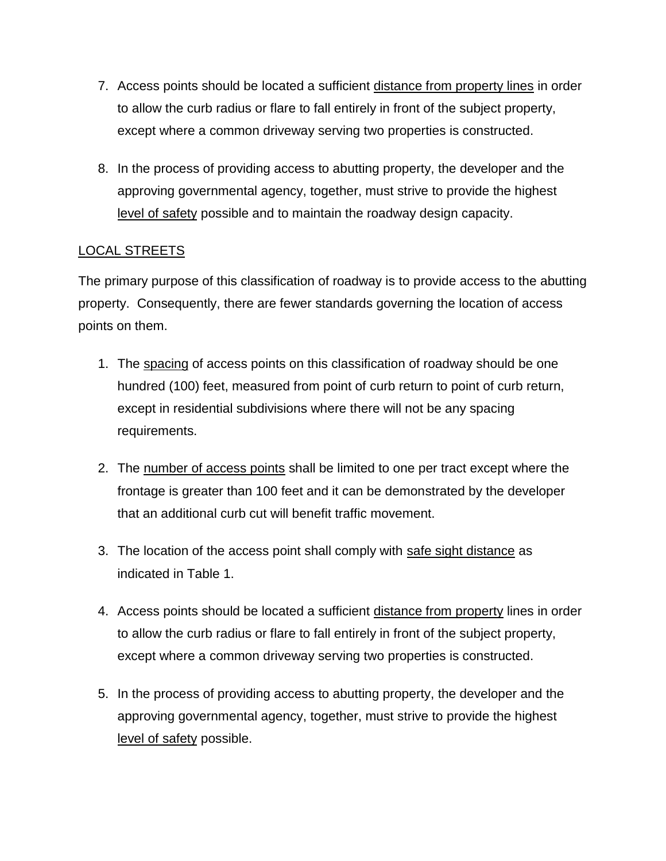- 7. Access points should be located a sufficient distance from property lines in order to allow the curb radius or flare to fall entirely in front of the subject property, except where a common driveway serving two properties is constructed.
- 8. In the process of providing access to abutting property, the developer and the approving governmental agency, together, must strive to provide the highest level of safety possible and to maintain the roadway design capacity.

# LOCAL STREETS

The primary purpose of this classification of roadway is to provide access to the abutting property. Consequently, there are fewer standards governing the location of access points on them.

- 1. The spacing of access points on this classification of roadway should be one hundred (100) feet, measured from point of curb return to point of curb return, except in residential subdivisions where there will not be any spacing requirements.
- 2. The number of access points shall be limited to one per tract except where the frontage is greater than 100 feet and it can be demonstrated by the developer that an additional curb cut will benefit traffic movement.
- 3. The location of the access point shall comply with safe sight distance as indicated in Table 1.
- 4. Access points should be located a sufficient distance from property lines in order to allow the curb radius or flare to fall entirely in front of the subject property, except where a common driveway serving two properties is constructed.
- 5. In the process of providing access to abutting property, the developer and the approving governmental agency, together, must strive to provide the highest level of safety possible.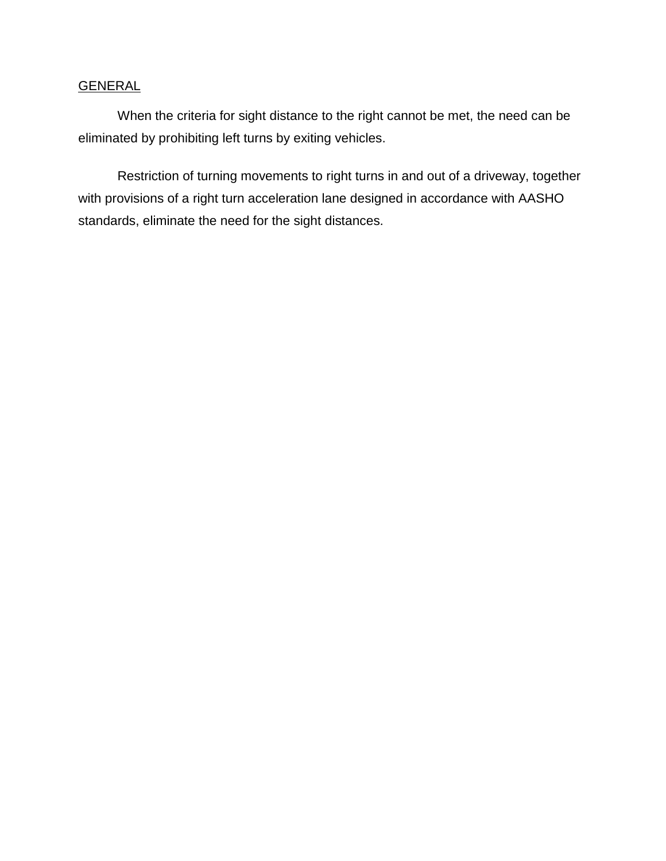## **GENERAL**

When the criteria for sight distance to the right cannot be met, the need can be eliminated by prohibiting left turns by exiting vehicles.

Restriction of turning movements to right turns in and out of a driveway, together with provisions of a right turn acceleration lane designed in accordance with AASHO standards, eliminate the need for the sight distances.